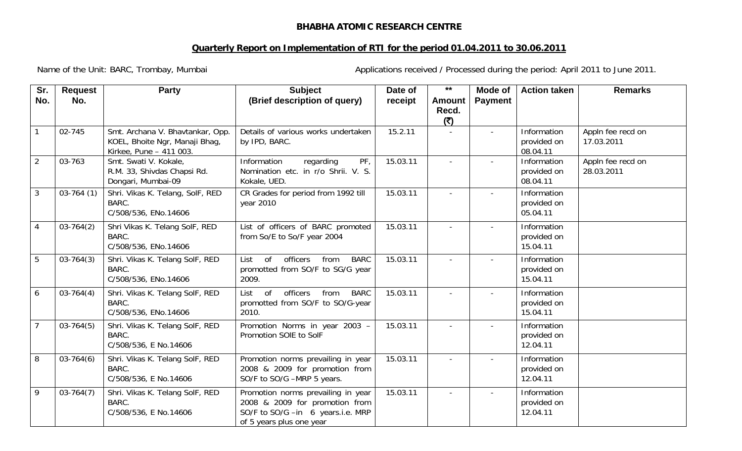## **BHABHA ATOMIC RESEARCH CENTRE**

## **Quarterly Report on Implementation of RTI for the period 01.04.2011 to 30.06.2011**

Name of the Unit: BARC, Trombay, Mumbai **Aucher Applications received** / Processed during the period: April 2011 to June 2011.

| Sr.<br>No.     | <b>Request</b><br>No. | Party                                                                                         | <b>Subject</b><br>(Brief description of query)                                                                                        | Date of<br>receipt | $***$<br><b>Amount</b><br>Recd.<br>(5) | Mode of<br><b>Payment</b> | <b>Action taken</b>                    | <b>Remarks</b>                  |
|----------------|-----------------------|-----------------------------------------------------------------------------------------------|---------------------------------------------------------------------------------------------------------------------------------------|--------------------|----------------------------------------|---------------------------|----------------------------------------|---------------------------------|
| $\mathbf{1}$   | 02-745                | Smt. Archana V. Bhavtankar, Opp.<br>KOEL, Bhoite Ngr, Manaji Bhag,<br>Kirkee, Pune - 411 003. | Details of various works undertaken<br>by IPD, BARC.                                                                                  | 15.2.11            |                                        | $\overline{\phantom{a}}$  | Information<br>provided on<br>08.04.11 | Appln fee recd on<br>17.03.2011 |
| $\overline{2}$ | 03-763                | Smt. Swati V. Kokale,<br>R.M. 33, Shivdas Chapsi Rd.<br>Dongari, Mumbai-09                    | Information<br>regarding<br>PF,<br>Nomination etc. in r/o Shrii. V. S.<br>Kokale, UED.                                                | 15.03.11           |                                        |                           | Information<br>provided on<br>08.04.11 | Appln fee recd on<br>28.03.2011 |
| $\mathfrak{Z}$ | $03-764(1)$           | Shri. Vikas K. Telang, SolF, RED<br>BARC.<br>C/508/536, ENo.14606                             | CR Grades for period from 1992 till<br>year 2010                                                                                      | 15.03.11           |                                        |                           | Information<br>provided on<br>05.04.11 |                                 |
| $\overline{4}$ | $03 - 764(2)$         | Shri Vikas K. Telang SolF, RED<br>BARC.<br>C/508/536, ENo.14606                               | List of officers of BARC promoted<br>from So/E to So/F year 2004                                                                      | 15.03.11           |                                        |                           | Information<br>provided on<br>15.04.11 |                                 |
| 5              | $03 - 764(3)$         | Shri. Vikas K. Telang SolF, RED<br>BARC.<br>C/508/536, ENo.14606                              | officers<br>of<br>from<br><b>BARC</b><br>List<br>promotted from SO/F to SG/G year<br>2009.                                            | 15.03.11           |                                        |                           | Information<br>provided on<br>15.04.11 |                                 |
| 6              | $03-764(4)$           | Shri. Vikas K. Telang SolF, RED<br>BARC.<br>C/508/536, ENo.14606                              | <b>BARC</b><br>List of<br>officers<br>from<br>promotted from SO/F to SO/G-year<br>2010.                                               | 15.03.11           |                                        |                           | Information<br>provided on<br>15.04.11 |                                 |
| $\overline{7}$ | $03-764(5)$           | Shri. Vikas K. Telang SolF, RED<br>BARC.<br>C/508/536, E No.14606                             | Promotion Norms in year 2003 -<br>Promotion SOIE to SoIF                                                                              | 15.03.11           |                                        |                           | Information<br>provided on<br>12.04.11 |                                 |
| 8              | $03 - 764(6)$         | Shri. Vikas K. Telang SolF, RED<br>BARC.<br>C/508/536, E No.14606                             | Promotion norms prevailing in year<br>2008 & 2009 for promotion from<br>SO/F to SO/G -MRP 5 years.                                    | 15.03.11           |                                        |                           | Information<br>provided on<br>12.04.11 |                                 |
| 9              | $03 - 764(7)$         | Shri. Vikas K. Telang SolF, RED<br>BARC.<br>C/508/536, E No.14606                             | Promotion norms prevailing in year<br>2008 & 2009 for promotion from<br>SO/F to SO/G -in 6 years.i.e. MRP<br>of 5 years plus one year | 15.03.11           |                                        |                           | Information<br>provided on<br>12.04.11 |                                 |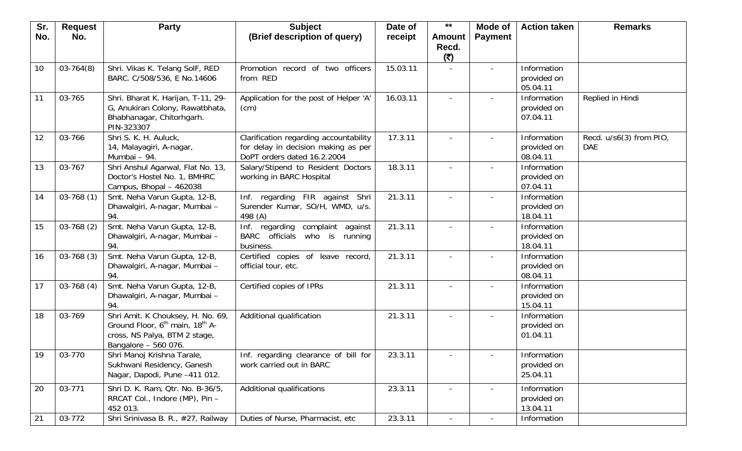| Sr. | <b>Request</b> | <b>Party</b>                                                                                                                                          | <b>Subject</b>                                                                                               | Date of  | $***$                         | Mode of        | <b>Action taken</b>                    | <b>Remarks</b>                        |
|-----|----------------|-------------------------------------------------------------------------------------------------------------------------------------------------------|--------------------------------------------------------------------------------------------------------------|----------|-------------------------------|----------------|----------------------------------------|---------------------------------------|
| No. | No.            |                                                                                                                                                       | (Brief description of query)                                                                                 | receipt  | <b>Amount</b><br>Recd.<br>(5) | <b>Payment</b> |                                        |                                       |
| 10  | $03 - 764(8)$  | Shri. Vikas K. Telang SolF, RED<br>BARC. C/508/536, E No.14606                                                                                        | Promotion record of two officers<br>from RED                                                                 | 15.03.11 |                               |                | Information<br>provided on<br>05.04.11 |                                       |
| 11  | 03-765         | Shri. Bharat K. Harijan, T-11, 29-<br>G, Anukiran Colony, Rawatbhata,<br>Bhabhanagar, Chitorhgarh.<br>PIN-323307                                      | Application for the post of Helper 'A'<br>(cm)                                                               | 16.03.11 | $\sim$                        |                | Information<br>provided on<br>07.04.11 | Replied in Hindi                      |
| 12  | 03-766         | Shri S. K. H. Auluck,<br>14, Malayagiri, A-nagar,<br>Mumbai - 94.                                                                                     | Clarification regarding accountability<br>for delay in decision making as per<br>DoPT orders dated 16.2.2004 | 17.3.11  |                               |                | Information<br>provided on<br>08.04.11 | Recd. u/s6(3) from PIO,<br><b>DAE</b> |
| 13  | 03-767         | Shri Anshul Agarwal, Flat No. 13,<br>Doctor's Hostel No. 1, BMHRC<br>Campus, Bhopal - 462038                                                          | Salary/Stipend to Resident Doctors<br>working in BARC Hospital                                               | 18.3.11  |                               |                | Information<br>provided on<br>07.04.11 |                                       |
| 14  | $03 - 768(1)$  | Smt. Neha Varun Gupta, 12-B,<br>Dhawalgiri, A-nagar, Mumbai -<br>94.                                                                                  | Inf. regarding FIR against Shri<br>Surender Kumar, SO/H, WMD, u/s.<br>498 (A)                                | 21.3.11  |                               |                | Information<br>provided on<br>18.04.11 |                                       |
| 15  | $03-768(2)$    | Smt. Neha Varun Gupta, 12-B,<br>Dhawalgiri, A-nagar, Mumbai -<br>94.                                                                                  | Inf. regarding complaint against<br>BARC officials who is running<br>business.                               | 21.3.11  |                               |                | Information<br>provided on<br>18.04.11 |                                       |
| 16  | $03-768(3)$    | Smt. Neha Varun Gupta, 12-B,<br>Dhawalgiri, A-nagar, Mumbai -<br>94.                                                                                  | Certified copies of leave record,<br>official tour, etc.                                                     | 21.3.11  |                               |                | Information<br>provided on<br>08.04.11 |                                       |
| 17  | $03-768(4)$    | Smt. Neha Varun Gupta, 12-B,<br>Dhawalgiri, A-nagar, Mumbai -<br>94.                                                                                  | Certified copies of IPRs                                                                                     | 21.3.11  |                               |                | Information<br>provided on<br>15.04.11 |                                       |
| 18  | 03-769         | Shri Amit. K Chouksey, H. No. 69,<br>Ground Floor, 6 <sup>th</sup> main, 18 <sup>th</sup> A-<br>cross, NS Palya, BTM 2 stage,<br>Bangalore - 560 076. | Additional qualification                                                                                     | 21.3.11  |                               |                | Information<br>provided on<br>01.04.11 |                                       |
| 19  | 03-770         | Shri Manoj Krishna Tarale,<br>Sukhwani Residency, Ganesh<br>Nagar, Dapodi, Pune -411 012.                                                             | Inf. regarding clearance of bill for<br>work carried out in BARC                                             | 23.3.11  |                               |                | Information<br>provided on<br>25.04.11 |                                       |
| 20  | 03-771         | Shri D. K. Ram, Qtr. No. B-36/5,<br>RRCAT Col., Indore (MP), Pin -<br>452 013.                                                                        | Additional qualifications                                                                                    | 23.3.11  |                               |                | Information<br>provided on<br>13.04.11 |                                       |
| 21  | 03-772         | Shri Srinivasa B. R., #27, Railway                                                                                                                    | Duties of Nurse, Pharmacist, etc                                                                             | 23.3.11  |                               |                | Information                            |                                       |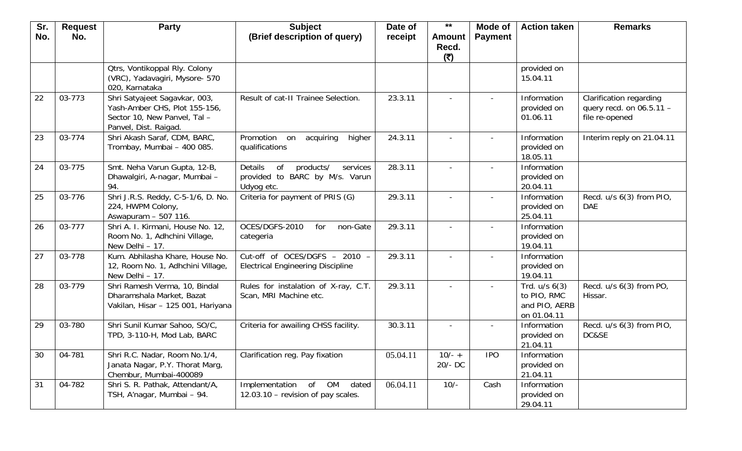| Sr. | <b>Request</b> | <b>Party</b>                                                                                                            | <b>Subject</b>                                                                         | Date of  | $***$                         | Mode of                  | <b>Action taken</b>                                              | <b>Remarks</b>                                                          |
|-----|----------------|-------------------------------------------------------------------------------------------------------------------------|----------------------------------------------------------------------------------------|----------|-------------------------------|--------------------------|------------------------------------------------------------------|-------------------------------------------------------------------------|
| No. | No.            |                                                                                                                         | (Brief description of query)                                                           | receipt  | <b>Amount</b><br>Recd.<br>(5) | <b>Payment</b>           |                                                                  |                                                                         |
|     |                | <b>Qtrs, Vontikoppal Rly. Colony</b><br>(VRC), Yadavagiri, Mysore- 570<br>020, Karnataka                                |                                                                                        |          |                               |                          | provided on<br>15.04.11                                          |                                                                         |
| 22  | 03-773         | Shri Satyajeet Sagavkar, 003,<br>Yash-Amber CHS, Plot 155-156,<br>Sector 10, New Panvel, Tal -<br>Panvel, Dist. Raigad. | Result of cat-II Trainee Selection.                                                    | 23.3.11  |                               |                          | Information<br>provided on<br>01.06.11                           | Clarification regarding<br>query recd. on $06.5.11 -$<br>file re-opened |
| 23  | 03-774         | Shri Akash Saraf, CDM, BARC,<br>Trombay, Mumbai - 400 085.                                                              | Promotion<br>acquiring<br>higher<br>on<br>qualifications                               | 24.3.11  |                               | $\overline{\phantom{a}}$ | Information<br>provided on<br>18.05.11                           | Interim reply on 21.04.11                                               |
| 24  | 03-775         | Smt. Neha Varun Gupta, 12-B,<br>Dhawalgiri, A-nagar, Mumbai -<br>94.                                                    | Details<br>of<br>products/<br>services<br>provided to BARC by M/s. Varun<br>Udyog etc. | 28.3.11  |                               |                          | Information<br>provided on<br>20.04.11                           |                                                                         |
| 25  | 03-776         | Shri J.R.S. Reddy, C-5-1/6, D. No.<br>224, HWPM Colony,<br>Aswapuram - 507 116.                                         | Criteria for payment of PRIS (G)                                                       | 29.3.11  |                               |                          | Information<br>provided on<br>25.04.11                           | Recd. u/s 6(3) from PIO,<br><b>DAE</b>                                  |
| 26  | 03-777         | Shri A. I. Kirmani, House No. 12,<br>Room No. 1, Adhchini Village,<br>New Delhi - 17.                                   | OCES/DGFS-2010<br>for<br>non-Gate<br>categeria                                         | 29.3.11  |                               | $\overline{\phantom{a}}$ | Information<br>provided on<br>19.04.11                           |                                                                         |
| 27  | 03-778         | Kum. Abhilasha Khare, House No.<br>12, Room No. 1, Adhchini Village,<br>New Delhi - 17.                                 | Cut-off of OCES/DGFS - 2010 -<br><b>Electrical Engineering Discipline</b>              | 29.3.11  |                               |                          | Information<br>provided on<br>19.04.11                           |                                                                         |
| 28  | 03-779         | Shri Ramesh Verma, 10, Bindal<br>Dharamshala Market, Bazat<br>Vakilan, Hisar - 125 001, Hariyana                        | Rules for instalation of X-ray, C.T.<br>Scan, MRI Machine etc.                         | 29.3.11  |                               |                          | Trd. $u/s$ $6(3)$<br>to PIO, RMC<br>and PIO, AERB<br>on 01.04.11 | Recd. u/s 6(3) from PO,<br>Hissar.                                      |
| 29  | 03-780         | Shri Sunil Kumar Sahoo, SO/C,<br>TPD, 3-110-H, Mod Lab, BARC                                                            | Criteria for awailing CHSS facility.                                                   | 30.3.11  |                               |                          | Information<br>provided on<br>21.04.11                           | Recd. u/s 6(3) from PIO,<br>DC&SE                                       |
| 30  | 04-781         | Shri R.C. Nadar, Room No.1/4,<br>Janata Nagar, P.Y. Thorat Marg,<br>Chembur, Mumbai-400089                              | Clarification reg. Pay fixation                                                        | 05.04.11 | $10/- +$<br>20/-DC            | <b>IPO</b>               | Information<br>provided on<br>21.04.11                           |                                                                         |
| 31  | 04-782         | Shri S. R. Pathak, Attendant/A,<br>TSH, A'nagar, Mumbai - 94.                                                           | OM<br>dated<br>Implementation of<br>12.03.10 - revision of pay scales.                 | 06.04.11 | $10/-$                        | Cash                     | Information<br>provided on<br>29.04.11                           |                                                                         |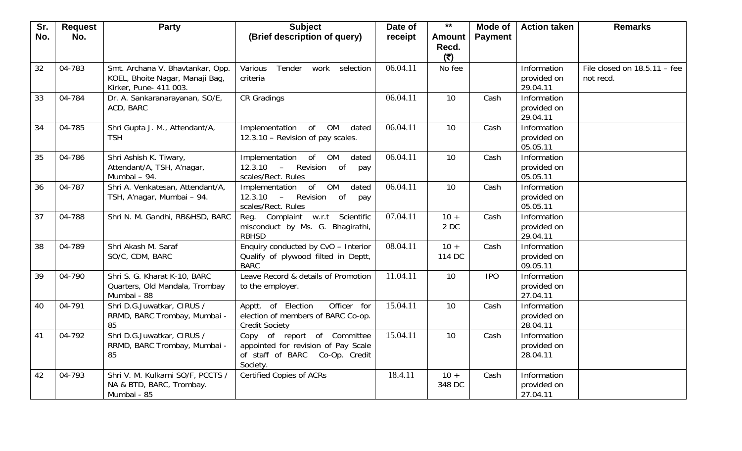| Sr. | <b>Request</b> | <b>Party</b>                                                                                  | <b>Subject</b>                                                                                                   | Date of  | $***$                         | Mode of        | <b>Action taken</b>                    | <b>Remarks</b>                              |
|-----|----------------|-----------------------------------------------------------------------------------------------|------------------------------------------------------------------------------------------------------------------|----------|-------------------------------|----------------|----------------------------------------|---------------------------------------------|
| No. | No.            |                                                                                               | (Brief description of query)                                                                                     | receipt  | <b>Amount</b><br>Recd.<br>(5) | <b>Payment</b> |                                        |                                             |
| 32  | 04-783         | Smt. Archana V. Bhavtankar, Opp.<br>KOEL, Bhoite Nagar, Manaji Bag,<br>Kirker, Pune- 411 003. | Various<br>Tender<br>work<br>selection<br>criteria                                                               | 06.04.11 | No fee                        |                | Information<br>provided on<br>29.04.11 | File closed on $18.5.11 -$ fee<br>not recd. |
| 33  | 04-784         | Dr. A. Sankaranarayanan, SO/E,<br>ACD, BARC                                                   | CR Gradings                                                                                                      | 06.04.11 | 10                            | Cash           | Information<br>provided on<br>29.04.11 |                                             |
| 34  | 04-785         | Shri Gupta J. M., Attendant/A,<br><b>TSH</b>                                                  | Implementation of OM<br>dated<br>12.3.10 - Revision of pay scales.                                               | 06.04.11 | 10                            | Cash           | Information<br>provided on<br>05.05.11 |                                             |
| 35  | 04-786         | Shri Ashish K. Tiwary,<br>Attendant/A, TSH, A'nagar,<br>Mumbai - 94.                          | Implementation of OM<br>dated<br>12.3.10 - Revision of<br>pay<br>scales/Rect. Rules                              | 06.04.11 | 10                            | Cash           | Information<br>provided on<br>05.05.11 |                                             |
| 36  | 04-787         | Shri A. Venkatesan, Attendant/A,<br>TSH, A'nagar, Mumbai - 94.                                | Implementation of OM<br>dated<br>12.3.10 - Revision of<br>pay<br>scales/Rect. Rules                              | 06.04.11 | 10                            | Cash           | Information<br>provided on<br>05.05.11 |                                             |
| 37  | 04-788         | Shri N. M. Gandhi, RB&HSD, BARC                                                               | Reg. Complaint w.r.t Scientific<br>misconduct by Ms. G. Bhagirathi,<br><b>RBHSD</b>                              | 07.04.11 | $10 +$<br>2DC                 | Cash           | Information<br>provided on<br>29.04.11 |                                             |
| 38  | 04-789         | Shri Akash M. Saraf<br>SO/C, CDM, BARC                                                        | Enquiry conducted by CvO - Interior<br>Qualify of plywood filted in Deptt,<br><b>BARC</b>                        | 08.04.11 | $10 +$<br>114 DC              | Cash           | Information<br>provided on<br>09.05.11 |                                             |
| 39  | 04-790         | Shri S. G. Kharat K-10, BARC<br>Quarters, Old Mandala, Trombay<br>Mumbai - 88                 | Leave Record & details of Promotion<br>to the employer.                                                          | 11.04.11 | 10                            | <b>IPO</b>     | Information<br>provided on<br>27.04.11 |                                             |
| 40  | 04-791         | Shri D.G.Juwatkar, CIRUS /<br>RRMD, BARC Trombay, Mumbai -<br>85                              | Officer for<br>Apptt. of Election<br>election of members of BARC Co-op.<br><b>Credit Society</b>                 | 15.04.11 | 10                            | Cash           | Information<br>provided on<br>28.04.11 |                                             |
| 41  | 04-792         | Shri D.G.Juwatkar, CIRUS /<br>RRMD, BARC Trombay, Mumbai -<br>85                              | Copy of report of Committee<br>appointed for revision of Pay Scale<br>of staff of BARC Co-Op. Credit<br>Society. | 15.04.11 | 10                            | Cash           | Information<br>provided on<br>28.04.11 |                                             |
| 42  | 04-793         | Shri V. M. Kulkarni SO/F, PCCTS /<br>NA & BTD, BARC, Trombay.<br>Mumbai - 85                  | <b>Certified Copies of ACRs</b>                                                                                  | 18.4.11  | $10 +$<br>348 DC              | Cash           | Information<br>provided on<br>27.04.11 |                                             |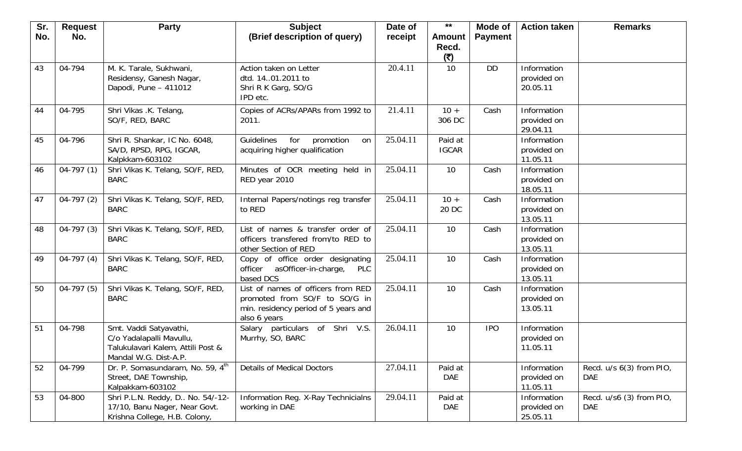| Sr.<br>No. | <b>Request</b><br>No. | <b>Party</b>                                                                                                     | <b>Subject</b><br>(Brief description of query)                                                                              | Date of<br>receipt | $***$<br><b>Amount</b>  | Mode of<br><b>Payment</b> | <b>Action taken</b>                    | <b>Remarks</b>                         |
|------------|-----------------------|------------------------------------------------------------------------------------------------------------------|-----------------------------------------------------------------------------------------------------------------------------|--------------------|-------------------------|---------------------------|----------------------------------------|----------------------------------------|
|            |                       |                                                                                                                  |                                                                                                                             |                    | Recd.<br>(5)            |                           |                                        |                                        |
| 43         | 04-794                | M. K. Tarale, Sukhwani,<br>Residensy, Ganesh Nagar,<br>Dapodi, Pune - 411012                                     | Action taken on Letter<br>dtd. 1401.2011 to<br>Shri R K Garg, SO/G<br>IPD etc.                                              | 20.4.11            | 10                      | <b>DD</b>                 | Information<br>provided on<br>20.05.11 |                                        |
| 44         | 04-795                | Shri Vikas .K. Telang,<br>SO/F, RED, BARC                                                                        | Copies of ACRs/APARs from 1992 to<br>2011.                                                                                  | 21.4.11            | $10 +$<br>306 DC        | Cash                      | Information<br>provided on<br>29.04.11 |                                        |
| 45         | 04-796                | Shri R. Shankar, IC No. 6048,<br>SA/D, RPSD, RPG, IGCAR,<br>Kalpkkam-603102                                      | Guidelines<br>for<br>promotion<br>on<br>acquiring higher qualification                                                      | 25.04.11           | Paid at<br><b>IGCAR</b> |                           | Information<br>provided on<br>11.05.11 |                                        |
| 46         | $04-797(1)$           | Shri Vikas K. Telang, SO/F, RED,<br><b>BARC</b>                                                                  | Minutes of OCR meeting held in<br>RED year 2010                                                                             | 25.04.11           | 10                      | Cash                      | Information<br>provided on<br>18.05.11 |                                        |
| 47         | $04-797(2)$           | Shri Vikas K. Telang, SO/F, RED,<br><b>BARC</b>                                                                  | Internal Papers/notings reg transfer<br>to RED                                                                              | 25.04.11           | $10 +$<br>20 DC         | Cash                      | Information<br>provided on<br>13.05.11 |                                        |
| 48         | $04-797(3)$           | Shri Vikas K. Telang, SO/F, RED,<br><b>BARC</b>                                                                  | List of names & transfer order of<br>officers transfered from/to RED to<br>other Section of RED                             | 25.04.11           | 10                      | Cash                      | Information<br>provided on<br>13.05.11 |                                        |
| 49         | $04-797(4)$           | Shri Vikas K. Telang, SO/F, RED,<br><b>BARC</b>                                                                  | Copy of office order designating<br>officer asOfficer-in-charge,<br><b>PLC</b><br>based DCS                                 | 25.04.11           | 10                      | Cash                      | Information<br>provided on<br>13.05.11 |                                        |
| 50         | $04-797(5)$           | Shri Vikas K. Telang, SO/F, RED,<br><b>BARC</b>                                                                  | List of names of officers from RED<br>promoted from SO/F to SO/G in<br>min. residency period of 5 years and<br>also 6 years | 25.04.11           | 10                      | Cash                      | Information<br>provided on<br>13.05.11 |                                        |
| 51         | 04-798                | Smt. Vaddi Satyavathi,<br>C/o Yadalapalli Mavullu,<br>Talukulavari Kalem, Attili Post &<br>Mandal W.G. Dist-A.P. | Salary particulars of Shri V.S.<br>Murrhy, SO, BARC                                                                         | 26.04.11           | 10                      | <b>IPO</b>                | Information<br>provided on<br>11.05.11 |                                        |
| 52         | 04-799                | Dr. P. Somasundaram, No. 59, 4th<br>Street, DAE Township,<br>Kalpakkam-603102                                    | <b>Details of Medical Doctors</b>                                                                                           | 27.04.11           | Paid at<br><b>DAE</b>   |                           | Information<br>provided on<br>11.05.11 | Recd. u/s 6(3) from PIO,<br><b>DAE</b> |
| 53         | 04-800                | Shri P.L.N. Reddy, D No. 54/-12-<br>17/10, Banu Nager, Near Govt.<br>Krishna College, H.B. Colony,               | Information Reg. X-Ray Technicialns<br>working in DAE                                                                       | 29.04.11           | Paid at<br><b>DAE</b>   |                           | Information<br>provided on<br>25.05.11 | Recd. u/s6 (3) from PIO,<br><b>DAE</b> |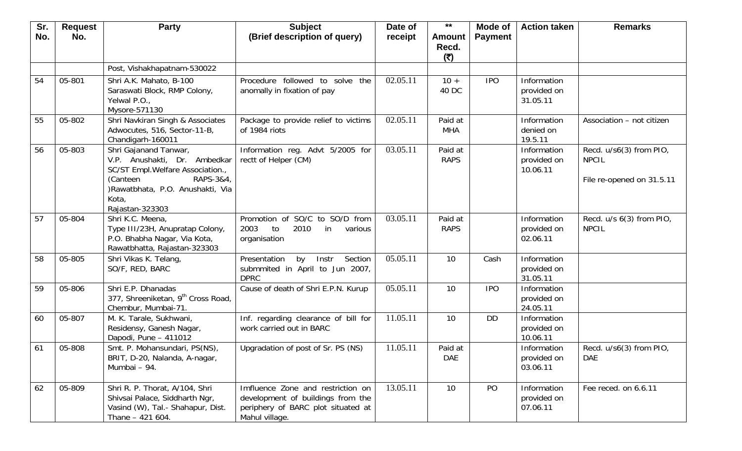| Sr. | <b>Request</b> | <b>Party</b>                                                                                                                                                                        | <b>Subject</b>                                                                                                                 | Date of  | $***$                         | <b>Mode of</b> | <b>Action taken</b>                    | <b>Remarks</b>                                                       |
|-----|----------------|-------------------------------------------------------------------------------------------------------------------------------------------------------------------------------------|--------------------------------------------------------------------------------------------------------------------------------|----------|-------------------------------|----------------|----------------------------------------|----------------------------------------------------------------------|
| No. | No.            |                                                                                                                                                                                     | (Brief description of query)                                                                                                   | receipt  | <b>Amount</b><br>Recd.<br>(5) | <b>Payment</b> |                                        |                                                                      |
|     |                | Post, Vishakhapatnam-530022                                                                                                                                                         |                                                                                                                                |          |                               |                |                                        |                                                                      |
| 54  | 05-801         | Shri A.K. Mahato, B-100<br>Saraswati Block, RMP Colony,<br>Yelwal P.O.,<br>Mysore-571130                                                                                            | Procedure followed to solve the<br>anomally in fixation of pay                                                                 | 02.05.11 | $10 +$<br>40 DC               | <b>IPO</b>     | Information<br>provided on<br>31.05.11 |                                                                      |
| 55  | 05-802         | Shri Navkiran Singh & Associates<br>Adwocutes, 516, Sector-11-B,<br>Chandigarh-160011                                                                                               | Package to provide relief to victims<br>of 1984 riots                                                                          | 02.05.11 | Paid at<br><b>MHA</b>         |                | Information<br>denied on<br>19.5.11    | Association - not citizen                                            |
| 56  | 05-803         | Shri Gajanand Tanwar,<br>V.P. Anushakti, Dr. Ambedkar<br>SC/ST Empl. Welfare Association.,<br>(Canteen<br>RAPS-3&4,<br>)Rawatbhata, P.O. Anushakti, Via<br>Kota,<br>Rajastan-323303 | Information reg. Advt 5/2005 for<br>rectt of Helper (CM)                                                                       | 03.05.11 | Paid at<br><b>RAPS</b>        |                | Information<br>provided on<br>10.06.11 | Recd. u/s6(3) from PIO,<br><b>NPCIL</b><br>File re-opened on 31.5.11 |
| 57  | 05-804         | Shri K.C. Meena,<br>Type III/23H, Anupratap Colony,<br>P.O. Bhabha Nagar, Via Kota,<br>Rawatbhatta, Rajastan-323303                                                                 | Promotion of SO/C to SO/D from<br>2003<br>2010<br>to<br>in<br>various<br>organisation                                          | 03.05.11 | Paid at<br><b>RAPS</b>        |                | Information<br>provided on<br>02.06.11 | Recd. u/s 6(3) from PIO,<br><b>NPCIL</b>                             |
| 58  | 05-805         | Shri Vikas K. Telang,<br>SO/F, RED, BARC                                                                                                                                            | Section<br>Presentation<br>by<br>Instr<br>submmited in April to Jun 2007,<br><b>DPRC</b>                                       | 05.05.11 | 10                            | Cash           | Information<br>provided on<br>31.05.11 |                                                                      |
| 59  | 05-806         | Shri E.P. Dhanadas<br>377, Shreeniketan, 9 <sup>th</sup> Cross Road,<br>Chembur, Mumbai-71.                                                                                         | Cause of death of Shri E.P.N. Kurup                                                                                            | 05.05.11 | 10                            | <b>IPO</b>     | Information<br>provided on<br>24.05.11 |                                                                      |
| 60  | 05-807         | M. K. Tarale, Sukhwani,<br>Residensy, Ganesh Nagar,<br>Dapodi, Pune - 411012                                                                                                        | Inf. regarding clearance of bill for<br>work carried out in BARC                                                               | 11.05.11 | 10                            | <b>DD</b>      | Information<br>provided on<br>10.06.11 |                                                                      |
| 61  | 05-808         | Smt. P. Mohansundari, PS(NS)<br>BRIT, D-20, Nalanda, A-nagar,<br>Mumbai - 94.                                                                                                       | Upgradation of post of Sr. PS (NS)                                                                                             | 11.05.11 | Paid at<br><b>DAE</b>         |                | Information<br>provided on<br>03.06.11 | Recd. u/s6(3) from PIO,<br><b>DAE</b>                                |
| 62  | 05-809         | Shri R. P. Thorat, A/104, Shri<br>Shivsai Palace, Siddharth Ngr,<br>Vasind (W), Tal.- Shahapur, Dist.<br>Thane - 421 604.                                                           | Imfluence Zone and restriction on<br>development of buildings from the<br>periphery of BARC plot situated at<br>Mahul village. | 13.05.11 | 10                            | <b>PO</b>      | Information<br>provided on<br>07.06.11 | Fee reced. on 6.6.11                                                 |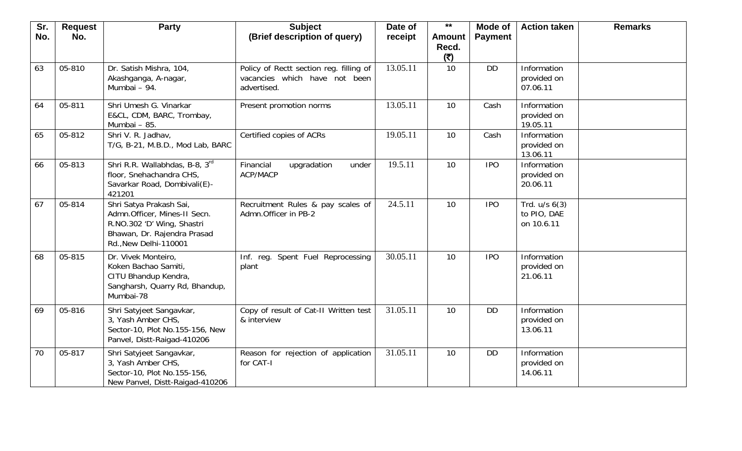| Sr.<br>No. | <b>Request</b><br>No. | <b>Party</b>                                                                                                                                  | <b>Subject</b><br>(Brief description of query)                                          | Date of<br>receipt | $***$<br><b>Amount</b><br>Recd.<br>(5) | <b>Mode of</b><br><b>Payment</b> | <b>Action taken</b>                            | <b>Remarks</b> |
|------------|-----------------------|-----------------------------------------------------------------------------------------------------------------------------------------------|-----------------------------------------------------------------------------------------|--------------------|----------------------------------------|----------------------------------|------------------------------------------------|----------------|
| 63         | 05-810                | Dr. Satish Mishra, 104,<br>Akashganga, A-nagar,<br>Mumbai - 94.                                                                               | Policy of Rectt section reg. filling of<br>vacancies which have not been<br>advertised. | 13.05.11           | 10                                     | <b>DD</b>                        | Information<br>provided on<br>07.06.11         |                |
| 64         | 05-811                | Shri Umesh G. Vinarkar<br>E&CL, CDM, BARC, Trombay,<br>Mumbai - 85.                                                                           | Present promotion norms                                                                 | 13.05.11           | 10                                     | Cash                             | Information<br>provided on<br>19.05.11         |                |
| 65         | 05-812                | Shri V. R. Jadhav,<br>T/G, B-21, M.B.D., Mod Lab, BARC                                                                                        | Certified copies of ACRs                                                                | 19.05.11           | 10                                     | Cash                             | Information<br>provided on<br>13.06.11         |                |
| 66         | 05-813                | Shri R.R. Wallabhdas, B-8, 3rd<br>floor, Snehachandra CHS,<br>Savarkar Road, Dombivali(E)-<br>421201                                          | Financial<br>upgradation<br>under<br>ACP/MACP                                           | 19.5.11            | 10                                     | <b>IPO</b>                       | Information<br>provided on<br>20.06.11         |                |
| 67         | 05-814                | Shri Satya Prakash Sai,<br>Admn.Officer, Mines-II Secn.<br>R.NO.302 'D' Wing, Shastri<br>Bhawan, Dr. Rajendra Prasad<br>Rd., New Delhi-110001 | Recruitment Rules & pay scales of<br>Admn.Officer in PB-2                               | 24.5.11            | 10                                     | <b>IPO</b>                       | Trd. $u/s$ $6(3)$<br>to PIO, DAE<br>on 10.6.11 |                |
| 68         | 05-815                | Dr. Vivek Monteiro,<br>Koken Bachao Samiti,<br>CITU Bhandup Kendra,<br>Sangharsh, Quarry Rd, Bhandup,<br>Mumbai-78                            | Inf. reg. Spent Fuel Reprocessing<br>plant                                              | 30.05.11           | 10                                     | <b>IPO</b>                       | Information<br>provided on<br>21.06.11         |                |
| 69         | 05-816                | Shri Satyjeet Sangavkar,<br>3, Yash Amber CHS,<br>Sector-10, Plot No.155-156, New<br>Panvel, Distt-Raigad-410206                              | Copy of result of Cat-II Written test<br>& interview                                    | 31.05.11           | 10                                     | <b>DD</b>                        | Information<br>provided on<br>13.06.11         |                |
| 70         | 05-817                | Shri Satyjeet Sangavkar,<br>3, Yash Amber CHS,<br>Sector-10, Plot No.155-156,<br>New Panvel, Distt-Raigad-410206                              | Reason for rejection of application<br>for CAT-I                                        | 31.05.11           | 10                                     | <b>DD</b>                        | Information<br>provided on<br>14.06.11         |                |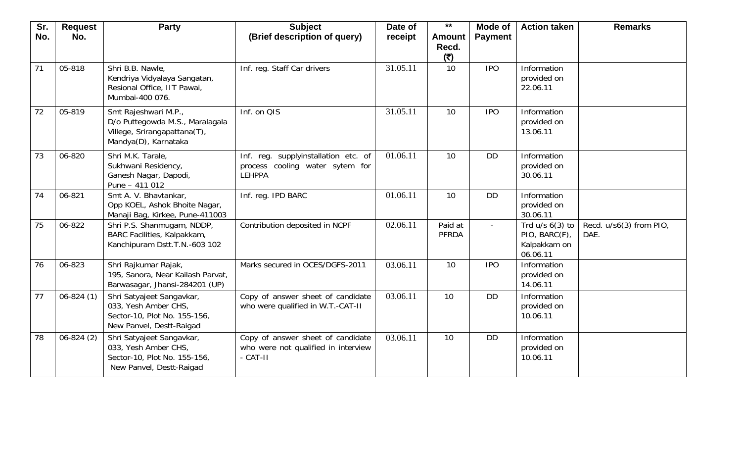| Sr.<br>No. | <b>Request</b><br>No. | <b>Party</b>                                                                                                    | <b>Subject</b><br>(Brief description of query)                                           | Date of<br>receipt | $***$<br><b>Amount</b> | Mode of<br><b>Payment</b> | <b>Action taken</b>                                            | <b>Remarks</b>                  |
|------------|-----------------------|-----------------------------------------------------------------------------------------------------------------|------------------------------------------------------------------------------------------|--------------------|------------------------|---------------------------|----------------------------------------------------------------|---------------------------------|
|            |                       |                                                                                                                 |                                                                                          |                    | Recd.<br>(5)           |                           |                                                                |                                 |
| 71         | 05-818                | Shri B.B. Nawle,<br>Kendriya Vidyalaya Sangatan,<br>Resional Office, IIT Pawai,<br>Mumbai-400 076.              | Inf. reg. Staff Car drivers                                                              | 31.05.11           | 10                     | <b>IPO</b>                | Information<br>provided on<br>22.06.11                         |                                 |
| 72         | 05-819                | Smt Rajeshwari M.P.,<br>D/o Puttegowda M.S., Maralagala<br>Villege, Srirangapattana(T),<br>Mandya(D), Karnataka | Inf. on QIS                                                                              | 31.05.11           | 10                     | <b>IPO</b>                | Information<br>provided on<br>13.06.11                         |                                 |
| 73         | 06-820                | Shri M.K. Tarale,<br>Sukhwani Residency,<br>Ganesh Nagar, Dapodi,<br>Pune - 411 012                             | Inf. reg. supplyinstallation etc. of<br>process cooling water sytem for<br><b>LEHPPA</b> | 01.06.11           | 10                     | <b>DD</b>                 | Information<br>provided on<br>30.06.11                         |                                 |
| 74         | 06-821                | Smt A. V. Bhavtankar,<br>Opp KOEL, Ashok Bhoite Nagar,<br>Manaji Bag, Kirkee, Pune-411003                       | Inf. reg. IPD BARC                                                                       | 01.06.11           | 10                     | <b>DD</b>                 | Information<br>provided on<br>30.06.11                         |                                 |
| 75         | 06-822                | Shri P.S. Shanmugam, NDDP,<br>BARC Facilities, Kalpakkam,<br>Kanchipuram Dstt.T.N.-603 102                      | Contribution deposited in NCPF                                                           | 02.06.11           | Paid at<br>PFRDA       | $\blacksquare$            | Trd $u/s$ 6(3) to<br>PIO, BARC(F),<br>Kalpakkam on<br>06.06.11 | Recd. u/s6(3) from PIO,<br>DAE. |
| 76         | 06-823                | Shri Rajkumar Rajak,<br>195, Sanora, Near Kailash Parvat,<br>Barwasagar, Jhansi-284201 (UP)                     | Marks secured in OCES/DGFS-2011                                                          | 03.06.11           | 10                     | <b>IPO</b>                | Information<br>provided on<br>14.06.11                         |                                 |
| 77         | $06 - 824(1)$         | Shri Satyajeet Sangavkar,<br>033, Yesh Amber CHS,<br>Sector-10, Plot No. 155-156,<br>New Panvel, Destt-Raigad   | Copy of answer sheet of candidate<br>who were qualified in W.T.-CAT-II                   | 03.06.11           | 10                     | <b>DD</b>                 | Information<br>provided on<br>10.06.11                         |                                 |
| 78         | $06-824(2)$           | Shri Satyajeet Sangavkar,<br>033, Yesh Amber CHS,<br>Sector-10, Plot No. 155-156,<br>New Panvel, Destt-Raigad   | Copy of answer sheet of candidate<br>who were not qualified in interview<br>- CAT-II     | 03.06.11           | 10                     | <b>DD</b>                 | Information<br>provided on<br>10.06.11                         |                                 |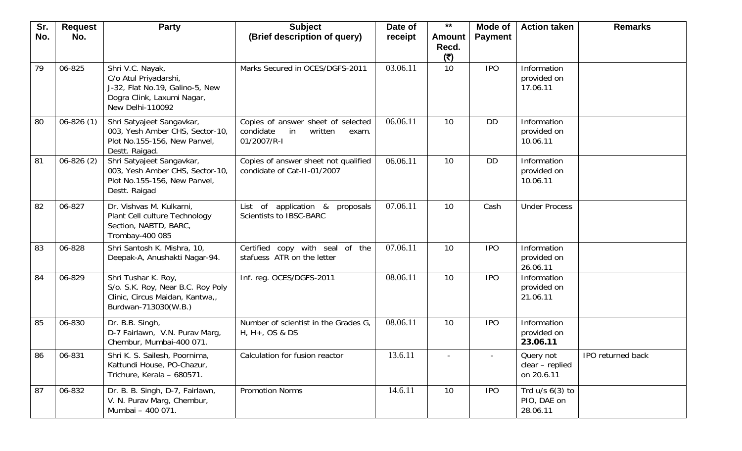| Sr. | <b>Request</b> | <b>Party</b>                                                                                                                   | <b>Subject</b>                                                                           | Date of  | $***$                  | <b>Mode of</b> | <b>Action taken</b>                          | <b>Remarks</b>    |
|-----|----------------|--------------------------------------------------------------------------------------------------------------------------------|------------------------------------------------------------------------------------------|----------|------------------------|----------------|----------------------------------------------|-------------------|
| No. | No.            |                                                                                                                                | (Brief description of query)                                                             | receipt  | <b>Amount</b><br>Recd. | <b>Payment</b> |                                              |                   |
|     |                |                                                                                                                                |                                                                                          |          | (₹)                    |                |                                              |                   |
| 79  | 06-825         | Shri V.C. Nayak,<br>C/o Atul Priyadarshi,<br>J-32, Flat No.19, Galino-5, New<br>Dogra Clink, Laxumi Nagar,<br>New Delhi-110092 | Marks Secured in OCES/DGFS-2011                                                          | 03.06.11 | 10                     | <b>IPO</b>     | Information<br>provided on<br>17.06.11       |                   |
| 80  | $06 - 826(1)$  | Shri Satyajeet Sangavkar,<br>003, Yesh Amber CHS, Sector-10,<br>Plot No.155-156, New Panvel,<br>Destt. Raigad.                 | Copies of answer sheet of selected<br>condidate<br>in<br>written<br>exam.<br>01/2007/R-I | 06.06.11 | 10                     | <b>DD</b>      | Information<br>provided on<br>10.06.11       |                   |
| 81  | $06 - 826(2)$  | Shri Satyajeet Sangavkar,<br>003, Yesh Amber CHS, Sector-10,<br>Plot No.155-156, New Panvel,<br>Destt. Raigad                  | Copies of answer sheet not qualified<br>condidate of Cat-II-01/2007                      | 06.06.11 | 10                     | DD             | Information<br>provided on<br>10.06.11       |                   |
| 82  | 06-827         | Dr. Vishvas M. Kulkarni,<br>Plant Cell culture Technology<br>Section, NABTD, BARC,<br>Trombay-400 085                          | of application &<br>List<br>proposals<br>Scientists to IBSC-BARC                         | 07.06.11 | 10                     | Cash           | <b>Under Process</b>                         |                   |
| 83  | 06-828         | Shri Santosh K. Mishra, 10,<br>Deepak-A, Anushakti Nagar-94.                                                                   | Certified copy with seal of the<br>stafuess ATR on the letter                            | 07.06.11 | 10                     | <b>IPO</b>     | Information<br>provided on<br>26.06.11       |                   |
| 84  | 06-829         | Shri Tushar K. Roy,<br>S/o. S.K. Roy, Near B.C. Roy Poly<br>Clinic, Circus Maidan, Kantwa,<br>Burdwan-713030(W.B.)             | Inf. reg. OCES/DGFS-2011                                                                 | 08.06.11 | 10                     | <b>IPO</b>     | Information<br>provided on<br>21.06.11       |                   |
| 85  | 06-830         | Dr. B.B. Singh,<br>D-7 Fairlawn, V.N. Purav Marg,<br>Chembur, Mumbai-400 071.                                                  | Number of scientist in the Grades G,<br>$H, H+, OS & DS$                                 | 08.06.11 | 10                     | <b>IPO</b>     | Information<br>provided on<br>23.06.11       |                   |
| 86  | 06-831         | Shri K. S. Sailesh, Poornima,<br>Kattundi House, PO-Chazur,<br>Trichure, Kerala - 680571.                                      | Calculation for fusion reactor                                                           | 13.6.11  |                        | $\blacksquare$ | Query not<br>clear - replied<br>on 20.6.11   | IPO returned back |
| 87  | 06-832         | Dr. B. B. Singh, D-7, Fairlawn,<br>V. N. Purav Marg, Chembur,<br>Mumbai - 400 071.                                             | <b>Promotion Norms</b>                                                                   | 14.6.11  | 10                     | <b>IPO</b>     | Trd $u/s$ 6(3) to<br>PIO, DAE on<br>28.06.11 |                   |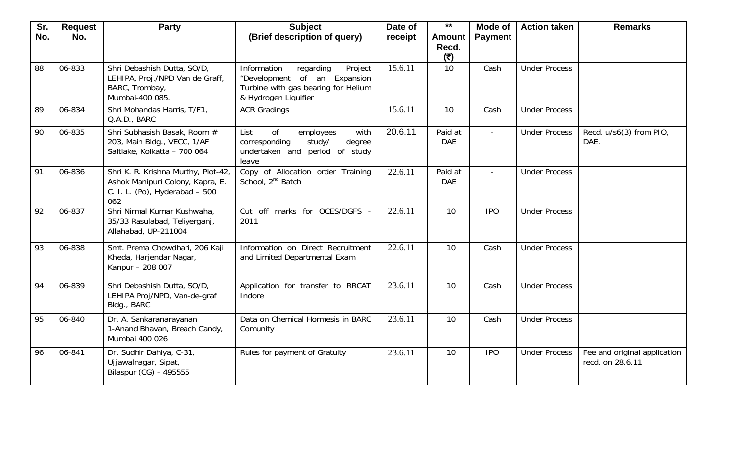| Sr.<br>No. | <b>Request</b><br>No. | <b>Party</b>                                                                                                     | <b>Subject</b><br>(Brief description of query)                                                                                     | Date of<br>receipt | $***$<br><b>Amount</b><br>Recd. | <b>Mode of</b><br><b>Payment</b> | <b>Action taken</b>  | <b>Remarks</b>                                   |
|------------|-----------------------|------------------------------------------------------------------------------------------------------------------|------------------------------------------------------------------------------------------------------------------------------------|--------------------|---------------------------------|----------------------------------|----------------------|--------------------------------------------------|
|            |                       |                                                                                                                  |                                                                                                                                    |                    | (5)                             |                                  |                      |                                                  |
| 88         | 06-833                | Shri Debashish Dutta, SO/D,<br>LEHIPA, Proj./NPD Van de Graff,<br>BARC, Trombay,<br>Mumbai-400 085.              | Information<br>regarding<br>Project<br>"Development of an Expansion<br>Turbine with gas bearing for Helium<br>& Hydrogen Liquifier | 15.6.11            | 10                              | Cash                             | <b>Under Process</b> |                                                  |
| 89         | 06-834                | Shri Mohandas Harris, T/F1,<br>Q.A.D., BARC                                                                      | <b>ACR Gradings</b>                                                                                                                | 15.6.11            | 10                              | Cash                             | <b>Under Process</b> |                                                  |
| 90         | 06-835                | Shri Subhasish Basak, Room #<br>203, Main Bldg., VECC, 1/AF<br>Saltlake, Kolkatta - 700 064                      | List<br>of<br>with<br>employees<br>corresponding<br>study/<br>degree<br>undertaken and period of study<br>leave                    | 20.6.11            | Paid at<br><b>DAE</b>           | $\sim$                           | <b>Under Process</b> | Recd. u/s6(3) from PIO,<br>DAE.                  |
| 91         | 06-836                | Shri K. R. Krishna Murthy, Plot-42,<br>Ashok Manipuri Colony, Kapra, E.<br>C. I. L. (Po), Hyderabad - 500<br>062 | Copy of Allocation order Training<br>School, 2 <sup>nd</sup> Batch                                                                 | 22.6.11            | Paid at<br><b>DAE</b>           |                                  | <b>Under Process</b> |                                                  |
| 92         | 06-837                | Shri Nirmal Kumar Kushwaha,<br>35/33 Rasulabad, Teliyerganj,<br>Allahabad, UP-211004                             | Cut off marks for OCES/DGFS<br>2011                                                                                                | 22.6.11            | 10                              | <b>IPO</b>                       | <b>Under Process</b> |                                                  |
| 93         | 06-838                | Smt. Prema Chowdhari, 206 Kaji<br>Kheda, Harjendar Nagar,<br>Kanpur - 208 007                                    | Information on Direct Recruitment<br>and Limited Departmental Exam                                                                 | 22.6.11            | 10                              | Cash                             | <b>Under Process</b> |                                                  |
| 94         | 06-839                | Shri Debashish Dutta, SO/D,<br>LEHIPA Proj/NPD, Van-de-graf<br>Bldg., BARC                                       | Application for transfer to RRCAT<br>Indore                                                                                        | 23.6.11            | 10                              | Cash                             | <b>Under Process</b> |                                                  |
| 95         | 06-840                | Dr. A. Sankaranarayanan<br>1-Anand Bhavan, Breach Candy,<br>Mumbai 400 026                                       | Data on Chemical Hormesis in BARC<br>Comunity                                                                                      | 23.6.11            | 10                              | Cash                             | <b>Under Process</b> |                                                  |
| 96         | 06-841                | Dr. Sudhir Dahiya, C-31,<br>Ujjawalnagar, Sipat,<br>Bilaspur (CG) - 495555                                       | Rules for payment of Gratuity                                                                                                      | 23.6.11            | 10                              | <b>IPO</b>                       | <b>Under Process</b> | Fee and original application<br>recd. on 28.6.11 |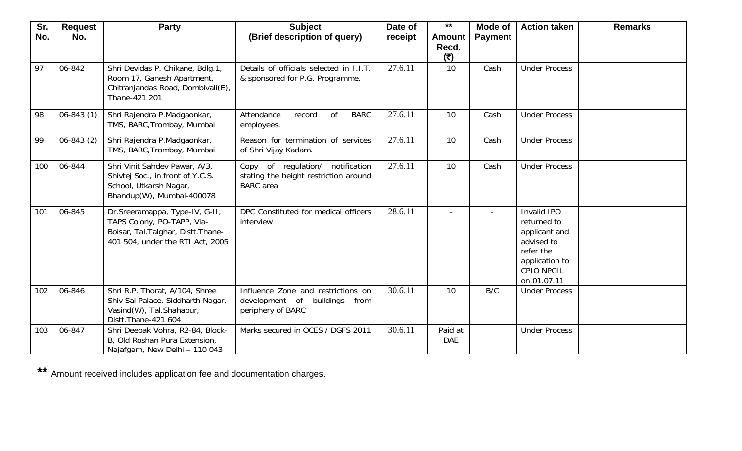| Sr.<br>No. | <b>Request</b><br>No. | <b>Party</b>                                                                                                                            | <b>Subject</b><br>(Brief description of query)                                                | Date of<br>receipt | $***$<br><b>Amount</b><br>Recd. | <b>Mode of</b><br><b>Payment</b> | <b>Action taken</b>                                                                                                                 | <b>Remarks</b> |
|------------|-----------------------|-----------------------------------------------------------------------------------------------------------------------------------------|-----------------------------------------------------------------------------------------------|--------------------|---------------------------------|----------------------------------|-------------------------------------------------------------------------------------------------------------------------------------|----------------|
| 97         | 06-842                | Shri Devidas P. Chikane, Bdlg.1,<br>Room 17, Ganesh Apartment,<br>Chitranjandas Road, Dombivali(E),<br>Thane-421 201                    | Details of officials selected in I.I.T.<br>& sponsored for P.G. Programme.                    | 27.6.11            | (5)<br>10                       | Cash                             | <b>Under Process</b>                                                                                                                |                |
| 98         | $06 - 843(1)$         | Shri Rajendra P.Madgaonkar,<br>TMS, BARC, Trombay, Mumbai                                                                               | <sub>of</sub><br><b>BARC</b><br>Attendance<br>record<br>employees.                            | 27.6.11            | 10                              | Cash                             | <b>Under Process</b>                                                                                                                |                |
| 99         | $06 - 843(2)$         | Shri Rajendra P.Madgaonkar,<br>TMS, BARC, Trombay, Mumbai                                                                               | Reason for termination of services<br>of Shri Vijay Kadam.                                    | 27.6.11            | 10                              | Cash                             | <b>Under Process</b>                                                                                                                |                |
| 100        | 06-844                | Shri Vinit Sahdev Pawar, A/3,<br>Shivtej Soc., in front of Y.C.S.<br>School, Utkarsh Nagar,<br>Bhandup(W), Mumbai-400078                | Copy of regulation/ notification<br>stating the height restriction around<br><b>BARC</b> area | 27.6.11            | 10                              | Cash                             | <b>Under Process</b>                                                                                                                |                |
| 101        | 06-845                | Dr.Sreeramappa, Type-IV, G-II,<br>TAPS Colony, PO-TAPP, Via-<br>Boisar, Tal. Talghar, Distt. Thane-<br>401 504, under the RTI Act, 2005 | DPC Constituted for medical officers<br>interview                                             | 28.6.11            |                                 |                                  | <b>Invalid IPO</b><br>returned to<br>applicant and<br>advised to<br>refer the<br>application to<br><b>CPIO NPCIL</b><br>on 01.07.11 |                |
| 102        | 06-846                | Shri R.P. Thorat, A/104, Shree<br>Shiv Sai Palace, Siddharth Nagar,<br>Vasind(W), Tal.Shahapur,<br>Distt.Thane-421 604                  | Influence Zone and restrictions on<br>development of buildings from<br>periphery of BARC      | 30.6.11            | 10                              | B/C                              | <b>Under Process</b>                                                                                                                |                |
| 103        | 06-847                | Shri Deepak Vohra, R2-84, Block-<br>B, Old Roshan Pura Extension,<br>Najafgarh, New Delhi - 110 043                                     | Marks secured in OCES / DGFS 2011                                                             | 30.6.11            | Paid at<br><b>DAE</b>           |                                  | <b>Under Process</b>                                                                                                                |                |

**\*\*** Amount received includes application fee and documentation charges.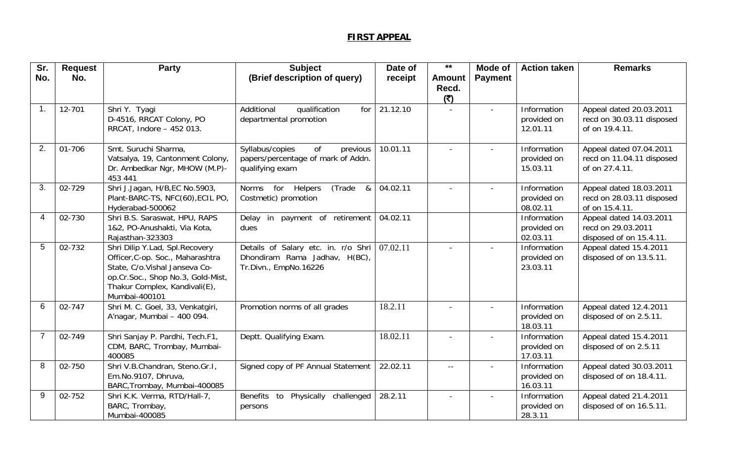## **FIRST APPEAL**

| Sr.            | <b>Request</b> | <b>Party</b>                                                                                                                                                                               | <b>Subject</b>                                                                                | Date of  | $***$                         | <b>Mode of</b> | <b>Action taken</b>                    | <b>Remarks</b>                                                           |
|----------------|----------------|--------------------------------------------------------------------------------------------------------------------------------------------------------------------------------------------|-----------------------------------------------------------------------------------------------|----------|-------------------------------|----------------|----------------------------------------|--------------------------------------------------------------------------|
| No.            | No.            |                                                                                                                                                                                            | (Brief description of query)                                                                  | receipt  | <b>Amount</b><br>Recd.<br>(5) | <b>Payment</b> |                                        |                                                                          |
| $\mathbf 1$ .  | 12-701         | Shri Y. Tyagi<br>D-4516, RRCAT Colony, PO<br>RRCAT, Indore - 452 013.                                                                                                                      | qualification<br>Additional<br>for<br>departmental promotion                                  | 21.12.10 |                               |                | Information<br>provided on<br>12.01.11 | Appeal dated 20.03.2011<br>recd on 30.03.11 disposed<br>of on 19.4.11.   |
| 2.             | 01-706         | Smt. Suruchi Sharma,<br>Vatsalya, 19, Cantonment Colony,<br>Dr. Ambedkar Ngr, MHOW (M.P)-<br>453 441                                                                                       | Syllabus/copies<br>of<br>previous<br>papers/percentage of mark of Addn.<br>qualifying exam    | 10.01.11 |                               |                | Information<br>provided on<br>15.03.11 | Appeal dated 07.04.2011<br>recd on 11.04.11 disposed<br>of on 27.4.11.   |
| 3.             | 02-729         | Shri J.Jagan, H/B, EC No.5903,<br>Plant-BARC-TS, NFC(60), ECIL PO,<br>Hyderabad-500062                                                                                                     | for<br>(Trade<br>Norms<br>Helpers<br>&<br>Costmetic) promotion                                | 04.02.11 |                               |                | Information<br>provided on<br>08.02.11 | Appeal dated 18.03.2011<br>recd on 28.03.11 disposed<br>of on 15.4.11.   |
| 4              | 02-730         | Shri B.S. Saraswat, HPU, RAPS<br>1&2, PO-Anushakti, Via Kota,<br>Rajasthan-323303                                                                                                          | Delay in payment of retirement<br>dues                                                        | 04.02.11 |                               |                | Information<br>provided on<br>02.03.11 | Appeal dated 14.03.2011<br>recd on 29.03.2011<br>disposed of on 15.4.11. |
| 5              | 02-732         | Shri Dilip Y.Lad, Spl.Recovery<br>Officer, C-op. Soc., Maharashtra<br>State, C/o.Vishal Janseva Co-<br>op.Cr.Soc., Shop No.3, Gold-Mist,<br>Thakur Complex, Kandivali(E),<br>Mumbai-400101 | Details of Salary etc. in. r/o Shri<br>Dhondiram Rama Jadhav, H(BC),<br>Tr.Divn., EmpNo.16226 | 07.02.11 |                               |                | Information<br>provided on<br>23.03.11 | Appeal dated 15.4.2011<br>disposed of on 13.5.11.                        |
| 6              | 02-747         | Shri M. C. Goel, 33, Venkatgiri,<br>A'nagar, Mumbai - 400 094.                                                                                                                             | Promotion norms of all grades                                                                 | 18.2.11  |                               |                | Information<br>provided on<br>18.03.11 | Appeal dated 12.4.2011<br>disposed of on 2.5.11.                         |
| $\overline{7}$ | 02-749         | Shri Sanjay P. Pardhi, Tech.F1,<br>CDM, BARC, Trombay, Mumbai-<br>400085                                                                                                                   | Deptt. Qualifying Exam.                                                                       | 18.02.11 |                               |                | Information<br>provided on<br>17.03.11 | Appeal dated 15.4.2011<br>disposed of on 2.5.11                          |
| 8              | 02-750         | Shri V.B.Chandran, Steno.Gr.I,<br>Em.No.9107, Dhruva,<br>BARC, Trombay, Mumbai-400085                                                                                                      | Signed copy of PF Annual Statement                                                            | 22.02.11 | $\overline{a}$                | $\overline{a}$ | Information<br>provided on<br>16.03.11 | Appeal dated 30.03.2011<br>disposed of on 18.4.11.                       |
| 9              | 02-752         | Shri K.K. Verma, RTD/Hall-7,<br>BARC, Trombay,<br>Mumbai-400085                                                                                                                            | Benefits to<br>Physically challenged<br>persons                                               | 28.2.11  |                               |                | Information<br>provided on<br>28.3.11  | Appeal dated 21.4.2011<br>disposed of on 16.5.11.                        |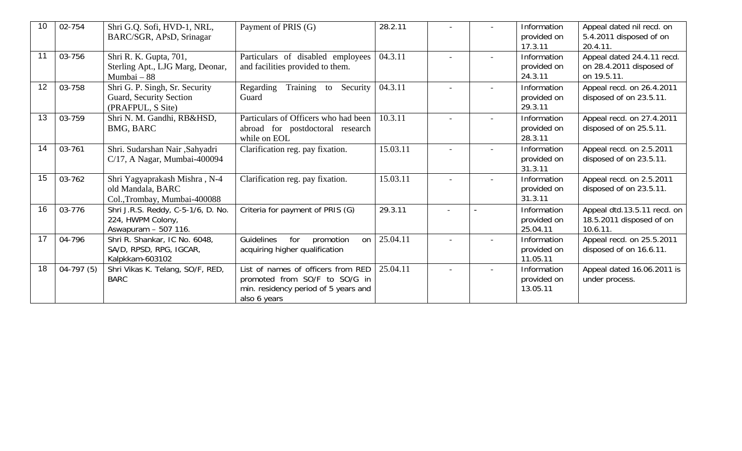| 10 | 02-754      | Shri G.Q. Sofi, HVD-1, NRL,<br>BARC/SGR, APsD, Srinagar                            | Payment of PRIS (G)                                                                                                         | 28.2.11  |  | Information<br>provided on<br>17.3.11  | Appeal dated nil recd. on<br>5.4.2011 disposed of on<br>20.4.11.      |
|----|-------------|------------------------------------------------------------------------------------|-----------------------------------------------------------------------------------------------------------------------------|----------|--|----------------------------------------|-----------------------------------------------------------------------|
| 11 | 03-756      | Shri R. K. Gupta, 701,<br>Sterling Apt., LJG Marg, Deonar,<br>Mumbai - 88          | Particulars of disabled employees<br>and facilities provided to them.                                                       | 04.3.11  |  | Information<br>provided on<br>24.3.11  | Appeal dated 24.4.11 recd.<br>on 28.4.2011 disposed of<br>on 19.5.11. |
| 12 | 03-758      | Shri G. P. Singh, Sr. Security<br>Guard, Security Section<br>(PRAFPUL, S Site)     | Training to<br>Regarding<br>Security<br>Guard                                                                               | 04.3.11  |  | Information<br>provided on<br>29.3.11  | Appeal recd. on 26.4.2011<br>disposed of on 23.5.11.                  |
| 13 | 03-759      | Shri N. M. Gandhi, RB&HSD,<br>BMG, BARC                                            | Particulars of Officers who had been<br>abroad for postdoctoral research<br>while on EOL                                    | 10.3.11  |  | Information<br>provided on<br>28.3.11  | Appeal recd. on 27.4.2011<br>disposed of on 25.5.11.                  |
| 14 | 03-761      | Shri. Sudarshan Nair ,Sahyadri<br>$C/17$ , A Nagar, Mumbai-400094                  | Clarification reg. pay fixation.                                                                                            | 15.03.11 |  | Information<br>provided on<br>31.3.11  | Appeal recd. on 2.5.2011<br>disposed of on 23.5.11.                   |
| 15 | 03-762      | Shri Yagyaprakash Mishra, N-4<br>old Mandala, BARC<br>Col., Trombay, Mumbai-400088 | Clarification reg. pay fixation.                                                                                            | 15.03.11 |  | Information<br>provided on<br>31.3.11  | Appeal recd. on 2.5.2011<br>disposed of on 23.5.11.                   |
| 16 | 03-776      | Shri J.R.S. Reddy, C-5-1/6, D. No.<br>224, HWPM Colony,<br>Aswapuram - 507 116.    | Criteria for payment of PRIS (G)                                                                                            | 29.3.11  |  | Information<br>provided on<br>25.04.11 | Appeal dtd.13.5.11 recd. on<br>18.5.2011 disposed of on<br>10.6.11.   |
| 17 | 04-796      | Shri R. Shankar, IC No. 6048,<br>SA/D, RPSD, RPG, IGCAR,<br>Kalpkkam-603102        | Guidelines<br>for<br>promotion<br>on<br>acquiring higher qualification                                                      | 25.04.11 |  | Information<br>provided on<br>11.05.11 | Appeal recd. on 25.5.2011<br>disposed of on 16.6.11.                  |
| 18 | $04-797(5)$ | Shri Vikas K. Telang, SO/F, RED,<br><b>BARC</b>                                    | List of names of officers from RED<br>promoted from SO/F to SO/G in<br>min. residency period of 5 years and<br>also 6 years | 25.04.11 |  | Information<br>provided on<br>13.05.11 | Appeal dated 16.06.2011 is<br>under process.                          |